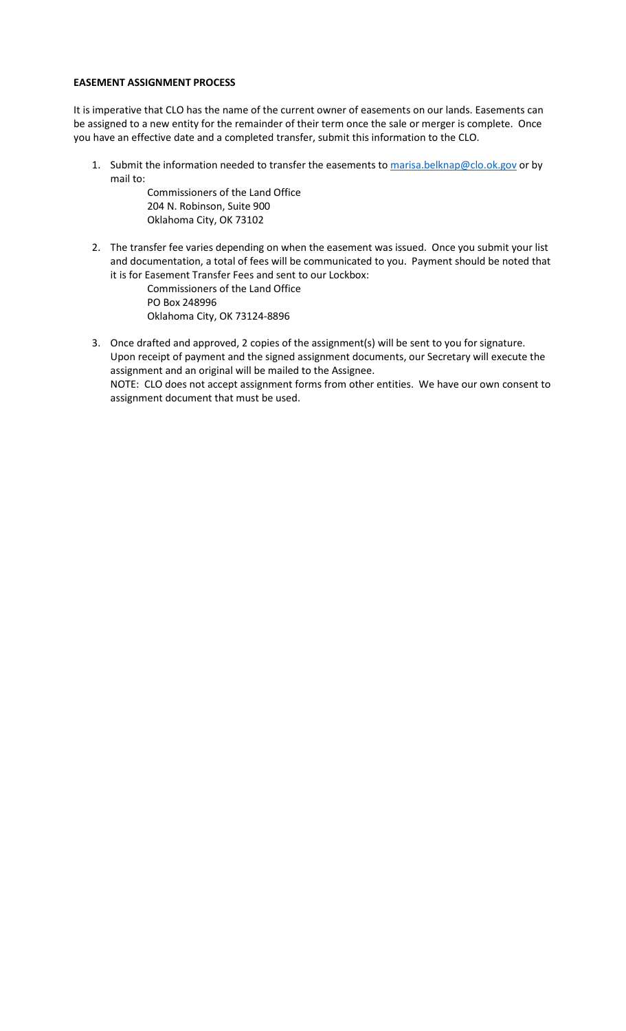### **EASEMENT ASSIGNMENT PROCESS**

It is imperative that CLO has the name of the current owner of easements on our lands. Easements can be assigned to a new entity for the remainder of their term once the sale or merger is complete. Once you have an effective date and a completed transfer, submit this information to the CLO.

1. Submit the information needed to transfer the easements to [marisa.belknap@clo.ok.gov](mailto:marisa.belknap@clo.ok.gov) or by mail to:

> Commissioners of the Land Office 204 N. Robinson, Suite 900 Oklahoma City, OK 73102

2. The transfer fee varies depending on when the easement was issued. Once you submit your list and documentation, a total of fees will be communicated to you. Payment should be noted that it is for Easement Transfer Fees and sent to our Lockbox:

> Commissioners of the Land Office PO Box 248996 Oklahoma City, OK 73124-8896

3. Once drafted and approved, 2 copies of the assignment(s) will be sent to you for signature. Upon receipt of payment and the signed assignment documents, our Secretary will execute the assignment and an original will be mailed to the Assignee. NOTE: CLO does not accept assignment forms from other entities. We have our own consent to assignment document that must be used.